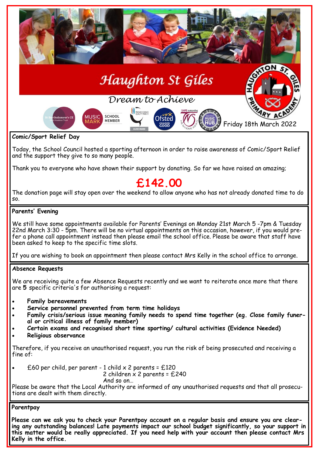

**Comic/Sport Relief Day**

Today, the School Council hosted a sporting afternoon in order to raise awareness of Comic/Sport Relief and the support they give to so many people.

Thank you to everyone who have shown their support by donating. So far we have raised an amazing;

# **£142.00**

The donation page will stay open over the weekend to allow anyone who has not already donated time to do so.

## **Parents' Evening**

We still have some appointments available for Parents' Evenings on Monday 21st March 5 -7pm & Tuesday 22nd March 3:30 - 5pm. There will be no virtual appointments on this occasion, however, if you would prefer a phone call appointment instead then please email the school office. Please be aware that staff have been asked to keep to the specific time slots.

If you are wishing to book an appointment then please contact Mrs Kelly in the school office to arrange.

## **Absence Requests**

We are receiving quite a few Absence Requests recently and we want to reiterate once more that there are **5** specific criteria's for authorising a request:

- **Family bereavements**
- **Service personnel prevented from term time holidays**
- **Family crisis/serious issue meaning family needs to spend time together (eg. Close family funeral or critical illness of family member)**
- **Certain exams and recognised short time sporting/ cultural activities (Evidence Needed)**
- **Religious observance**

Therefore, if you receive an unauthorised request, you run the risk of being prosecuted and receiving a fine of:

£60 per child, per parent - 1 child  $\times$  2 parents = £120

2 children  $\times$  2 parents = £240

And so on…

Please be aware that the Local Authority are informed of any unauthorised requests and that all prosecutions are dealt with them directly.

## **Parentpay**

**Please can we ask you to check your Parentpay account on a regular basis and ensure you are clearing any outstanding balances! Late payments impact our school budget significantly, so your support in this matter would be really appreciated. If you need help with your account then please contact Mrs Kelly in the office.**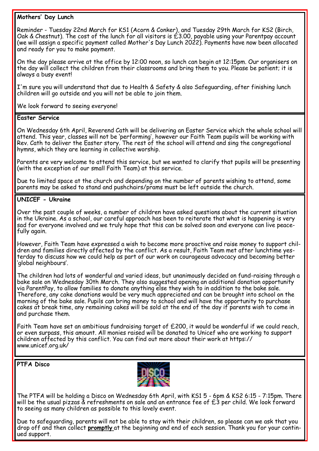## **Mothers' Day Lunch**

Reminder - Tuesday 22nd March for KS1 (Acorn & Conker), and Tuesday 29th March for KS2 (Birch, Oak & Chestnut). The cost of the lunch for all visitors is  $\acute{\text{t}}3.00$ , payable using your Parentpay account (we will assign a specific payment called Mother's Day Lunch 2022). Payments have now been allocated and ready for you to make payment.

On the day please arrive at the office by 12:00 noon, so lunch can begin at 12:15pm. Our organisers on the day will collect the children from their classrooms and bring them to you. Please be patient; it is always a busy event!

I'm sure you will understand that due to Health & Safety & also Safeguarding, after finishing lunch children will go outside and you will not be able to join them.

We look forward to seeing everyone!

#### **Easter Service**

On Wednesday 6th April, Reverend Cath will be delivering an Easter Service which the whole school will attend. This year, classes will not be 'performing', however our Faith Team pupils will be working with Rev. Cath to deliver the Easter story. The rest of the school will attend and sing the congregational hymns, which they are learning in collective worship.

Parents are very welcome to attend this service, but we wanted to clarify that pupils will be presenting (with the exception of our small Faith Team) at this service.

Due to limited space at the church and depending on the number of parents wishing to attend, some parents may be asked to stand and pushchairs/prams must be left outside the church.

## **UNICEF - Ukraine**

Over the past couple of weeks, a number of children have asked questions about the current situation in the Ukraine. As a school, our careful approach has been to reiterate that what is happening is very sad for everyone involved and we truly hope that this can be solved soon and everyone can live peacefully again.

However, Faith Team have expressed a wish to become more proactive and raise money to support children and families directly affected by the conflict. As a result, Faith Team met after lunchtime yesterday to discuss how we could help as part of our work on courageous advocacy and becoming better 'global neighbours'.

The children had lots of wonderful and varied ideas, but unanimously decided on fund-raising through a bake sale on Wednesday 30th March. They also suggested opening an additional donation opportunity via ParentPay, to allow families to donate anything else they wish to in addition to the bake sale. Therefore, any cake donations would be very much appreciated and can be brought into school on the morning of the bake sale. Pupils can bring money to school and will have the opportunity to purchase cakes at break time, any remaining cakes will be sold at the end of the day if parents wish to come in and purchase them.

Faith Team have set an ambitious fundraising target of £200, it would be wonderful if we could reach, or even surpass, this amount. All monies raised will be donated to Unicef who are working to support children affected by this conflict. You can find out more about their work at https:// www.unicef.org.uk/

**PTFA Disco**



The PTFA will be holding a Disco on Wednesday 6th April, with KS1 5 - 6pm & KS2 6:15 - 7:15pm. There will be the usual pizzas & refreshments on sale and an entrance fee of £3 per child. We look forward to seeing as many children as possible to this lovely event.

Due to safeguarding, parents will not be able to stay with their children, so please can we ask that you drop off and then collect **promptly** at the beginning and end of each session. Thank you for your continued support.